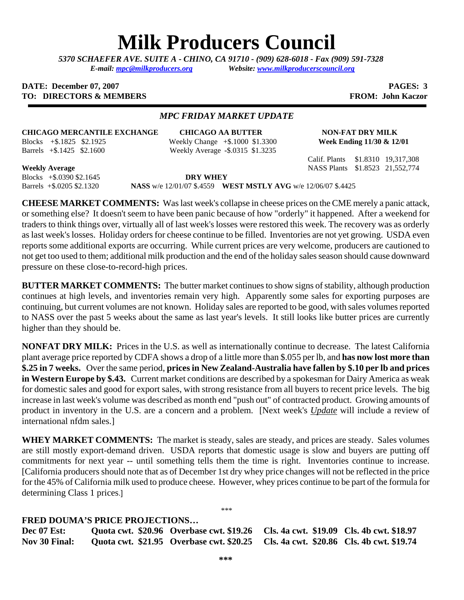# **Milk Producers Council**

*5370 SCHAEFER AVE. SUITE A* **-** *CHINO, CA 91710 - (909) 628-6018 - Fax (909) 591-7328 E-mail: [mpc@milkproducers.org](mailto:mpc@milkproducers.org) Website: [www.milkproducerscouncil.org](http://www.milkproducerscouncil.org/)* 

#### **DATE:** December 07, 2007 **PAGES:** 3 **TO: DIRECTORS & MEMBERS FROM: John Kaczor**

#### *MPC FRIDAY MARKET UPDATE*

#### **CHICAGO MERCANTILE EXCHANGE CHICAGO AA BUTTER NON-FAT DRY MILK**

Blocks +\$.1825 \$2.1925 Weekly Change +\$.1000 \$1.3300 **Week Ending 11/30 & 12/01**  Barrels +\$.1425 \$2.1600 Weekly Average **-**\$.0315 \$1.3235

Calif. Plants \$1.8310 19,317,308

**Weekly Average** NASS Plants \$1.8523 21,552,774

Blocks +\$.0390 \$2.1645 **DRY WHEY** 

Barrels +\$.0205 \$2.1320 **NASS** w/e 12/01/07 \$.4559 **WEST MSTLY AVG** w/e 12/06/07 \$.4425

**CHEESE MARKET COMMENTS:** Was last week's collapse in cheese prices on the CME merely a panic attack, or something else? It doesn't seem to have been panic because of how "orderly" it happened. After a weekend for traders to think things over, virtually all of last week's losses were restored this week. The recovery was as orderly as last week's losses. Holiday orders for cheese continue to be filled. Inventories are not yet growing. USDA even reports some additional exports are occurring. While current prices are very welcome, producers are cautioned to not get too used to them; additional milk production and the end of the holiday sales season should cause downward pressure on these close-to-record-high prices.

**BUTTER MARKET COMMENTS:** The butter market continues to show signs of stability, although production continues at high levels, and inventories remain very high. Apparently some sales for exporting purposes are continuing, but current volumes are not known. Holiday sales are reported to be good, with sales volumes reported to NASS over the past 5 weeks about the same as last year's levels. It still looks like butter prices are currently higher than they should be.

**NONFAT DRY MILK:** Prices in the U.S. as well as internationally continue to decrease. The latest California plant average price reported by CDFA shows a drop of a little more than \$.055 per lb, and **has now lost more than \$.25 in 7 weeks.** Over the same period, **prices in New Zealand-Australia have fallen by \$.10 per lb and prices in Western Europe by \$.43.** Current market conditions are described by a spokesman for Dairy America as weak for domestic sales and good for export sales, with strong resistance from all buyers to recent price levels. The big increase in last week's volume was described as month end "push out" of contracted product. Growing amounts of product in inventory in the U.S. are a concern and a problem. [Next week's *Update* will include a review of international nfdm sales.]

**WHEY MARKET COMMENTS:** The market is steady, sales are steady, and prices are steady. Sales volumes are still mostly export-demand driven. USDA reports that domestic usage is slow and buyers are putting off commitments for next year -- until something tells them the time is right. Inventories continue to increase. [California producers should note that as of December 1st dry whey price changes will not be reflected in the price for the 45% of California milk used to produce cheese. However, whey prices continue to be part of the formula for determining Class 1 prices.]

\*\*\*

### **FRED DOUMA'S PRICE PROJECTIONS…**

**Dec 07 Est: Quota cwt. \$20.96 Overbase cwt. \$19.26 Cls. 4a cwt. \$19.09 Cls. 4b cwt. \$18.97 Nov 30 Final: Quota cwt. \$21.95 Overbase cwt. \$20.25 Cls. 4a cwt. \$20.86 Cls. 4b cwt. \$19.74**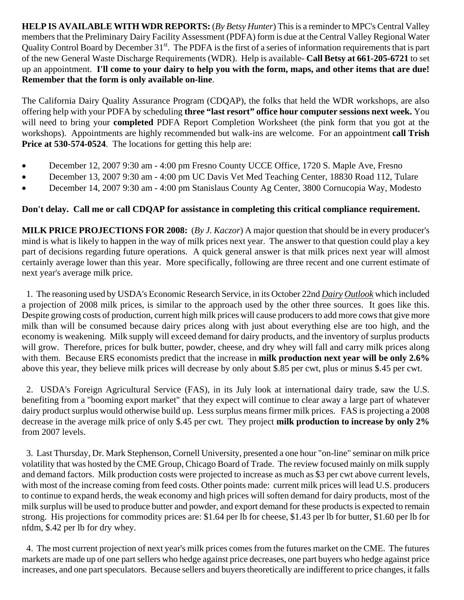**HELP IS AVAILABLE WITH WDR REPORTS:** (*By Betsy Hunter*) This is a reminder to MPC's Central Valley members that the Preliminary Dairy Facility Assessment (PDFA) form is due at the Central Valley Regional Water Quality Control Board by December 31<sup>st</sup>. The PDFA is the first of a series of information requirements that is part of the new General Waste Discharge Requirements (WDR). Help is available- **Call Betsy at 661-205-6721** to set up an appointment. **I'll come to your dairy to help you with the form, maps, and other items that are due! Remember that the form is only available on-line**.

The California Dairy Quality Assurance Program (CDQAP), the folks that held the WDR workshops, are also offering help with your PDFA by scheduling **three "last resort" office hour computer sessions next week.** You will need to bring your **completed** PDFA Report Completion Worksheet (the pink form that you got at the workshops). Appointments are highly recommended but walk-ins are welcome. For an appointment **call Trish Price at 530-574-0524**. The locations for getting this help are:

- December 12, 2007 9:30 am 4:00 pm Fresno County UCCE Office, 1720 S. Maple Ave, Fresno
- December 13, 2007 9:30 am 4:00 pm UC Davis Vet Med Teaching Center, 18830 Road 112, Tulare
- December 14, 2007 9:30 am 4:00 pm Stanislaus County Ag Center, 3800 Cornucopia Way, Modesto

## **Don't delay. Call me or call CDQAP for assistance in completing this critical compliance requirement.**

**MILK PRICE PROJECTIONS FOR 2008:** (*By J. Kaczor*) A major question that should be in every producer's mind is what is likely to happen in the way of milk prices next year. The answer to that question could play a key part of decisions regarding future operations. A quick general answer is that milk prices next year will almost certainly average lower than this year. More specifically, following are three recent and one current estimate of next year's average milk price.

 1. The reasoning used by USDA's Economic Research Service, in its October 22nd *Dairy Outlook* which included a projection of 2008 milk prices, is similar to the approach used by the other three sources. It goes like this. Despite growing costs of production, current high milk prices will cause producers to add more cows that give more milk than will be consumed because dairy prices along with just about everything else are too high, and the economy is weakening. Milk supply will exceed demand for dairy products, and the inventory of surplus products will grow. Therefore, prices for bulk butter, powder, cheese, and dry whey will fall and carry milk prices along with them. Because ERS economists predict that the increase in **milk production next year will be only 2.6%**  above this year, they believe milk prices will decrease by only about \$.85 per cwt, plus or minus \$.45 per cwt.

 2. USDA's Foreign Agricultural Service (FAS), in its July look at international dairy trade, saw the U.S. benefiting from a "booming export market" that they expect will continue to clear away a large part of whatever dairy product surplus would otherwise build up. Less surplus means firmer milk prices. FAS is projecting a 2008 decrease in the average milk price of only \$.45 per cwt. They project **milk production to increase by only 2%**  from 2007 levels.

 3. Last Thursday, Dr. Mark Stephenson, Cornell University, presented a one hour "on-line" seminar on milk price volatility that was hosted by the CME Group, Chicago Board of Trade. The review focused mainly on milk supply and demand factors. Milk production costs were projected to increase as much as \$3 per cwt above current levels, with most of the increase coming from feed costs. Other points made: current milk prices will lead U.S. producers to continue to expand herds, the weak economy and high prices will soften demand for dairy products, most of the milk surplus will be used to produce butter and powder, and export demand for these products is expected to remain strong. His projections for commodity prices are: \$1.64 per lb for cheese, \$1.43 per lb for butter, \$1.60 per lb for nfdm, \$.42 per lb for dry whey.

 4. The most current projection of next year's milk prices comes from the futures market on the CME. The futures markets are made up of one part sellers who hedge against price decreases, one part buyers who hedge against price increases, and one part speculators. Because sellers and buyers theoretically are indifferent to price changes, it falls